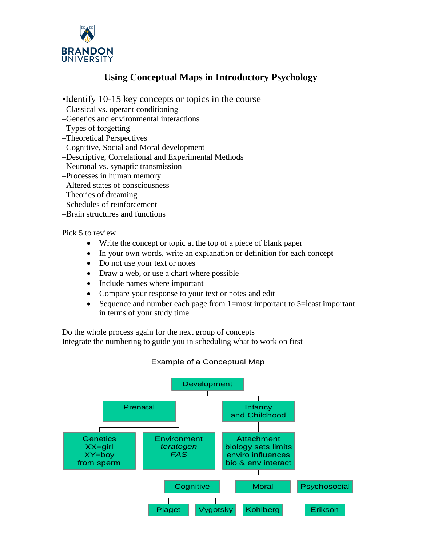

### **Using Conceptual Maps in Introductory Psychology**

- •Identify 10-15 key concepts or topics in the course
- –Classical vs. operant conditioning
- –Genetics and environmental interactions
- –Types of forgetting
- –Theoretical Perspectives
- –Cognitive, Social and Moral development
- –Descriptive, Correlational and Experimental Methods
- –Neuronal vs. synaptic transmission
- –Processes in human memory
- –Altered states of consciousness
- –Theories of dreaming
- –Schedules of reinforcement
- –Brain structures and functions

Pick 5 to review

- Write the concept or topic at the top of a piece of blank paper
- In your own words, write an explanation or definition for each concept
- Do not use your text or notes
- Draw a web, or use a chart where possible
- Include names where important
- Compare your response to your text or notes and edit
- Sequence and number each page from 1=most important to 5=least important in terms of your study time

Do the whole process again for the next group of concepts Integrate the numbering to guide you in scheduling what to work on first

#### Example of a Conceptual Map

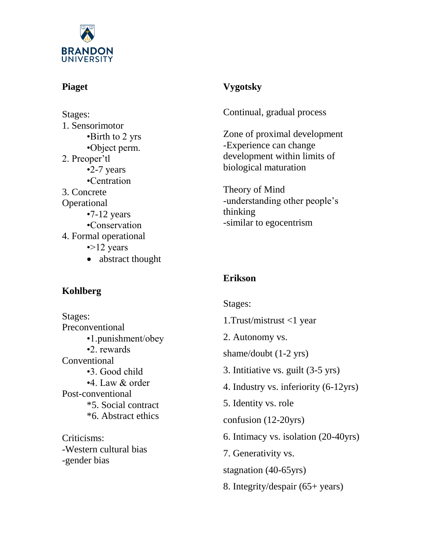

## **Piaget**

Stages: 1. Sensorimotor •Birth to 2 yrs •Object perm. 2. Preoper'tl •2-7 years •Centration 3. Concrete **Operational** •7-12 years •Conservation 4. Formal operational •>12 years • abstract thought

# **Vygotsky**

Continual, gradual process

Zone of proximal development -Experience can change development within limits of biological maturation

Theory of Mind -understanding other people's thinking -similar to egocentrism

# **Kohlberg**

Stages: Preconventional •1.punishment/obey •2. rewards **Conventional** •3. Good child •4. Law & order Post-conventional \*5. Social contract \*6. Abstract ethics

Criticisms: -Western cultural bias -gender bias

# **Erikson**

Stages: 1.Trust/mistrust <1 year 2. Autonomy vs. shame/doubt (1-2 yrs) 3. Intitiative vs. guilt (3-5 yrs) 4. Industry vs. inferiority (6-12yrs) 5. Identity vs. role confusion (12-20yrs) 6. Intimacy vs. isolation (20-40yrs) 7. Generativity vs. stagnation (40-65yrs) 8. Integrity/despair (65+ years)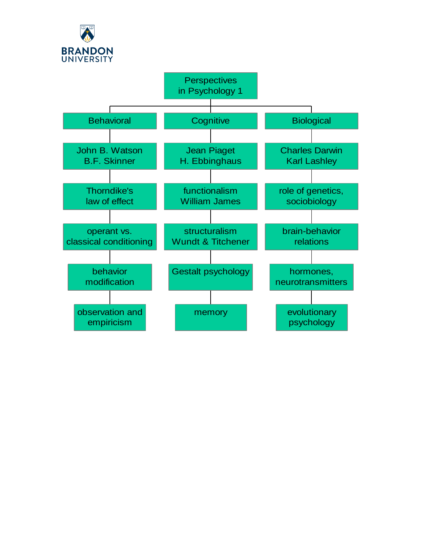